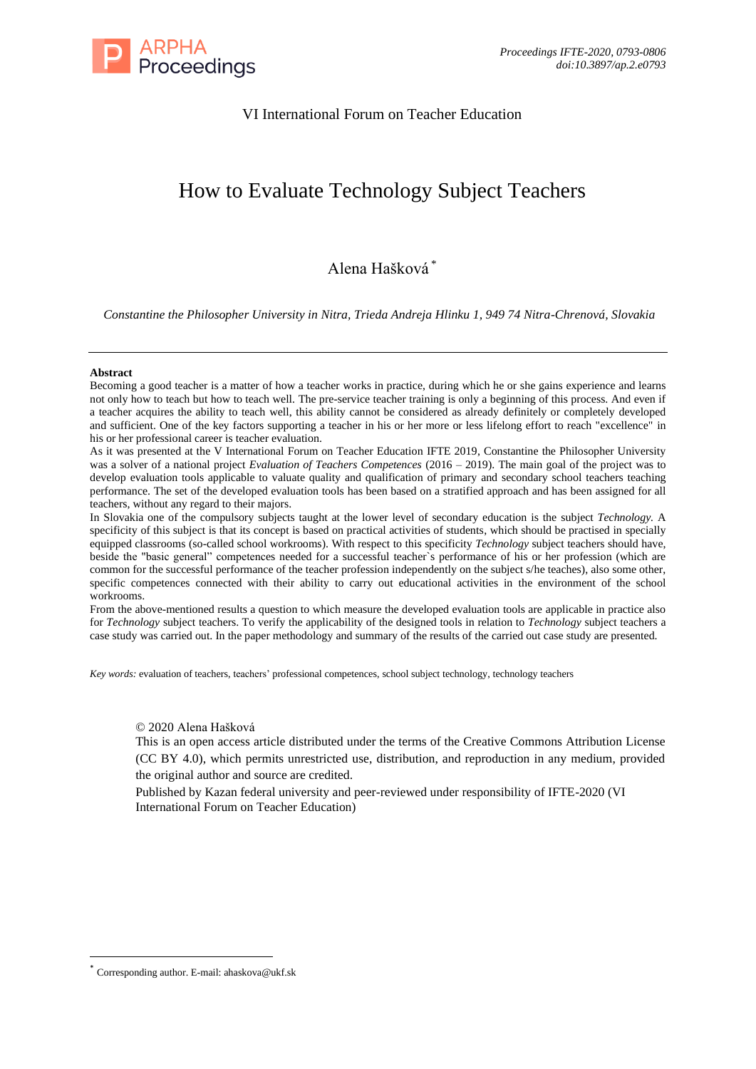

## VI International Forum on Teacher Education

# How to Evaluate Technology Subject Teachers

## Alena Hašková \*

*Constantine the Philosopher University in Nitra, Trieda Andreja Hlinku 1, 949 74 Nitra-Chrenová, Slovakia*

#### **Abstract**

Becoming a good teacher is a matter of how a teacher works in practice, during which he or she gains experience and learns not only how to teach but how to teach well. The pre-service teacher training is only a beginning of this process. And even if a teacher acquires the ability to teach well, this ability cannot be considered as already definitely or completely developed and sufficient. One of the key factors supporting a teacher in his or her more or less lifelong effort to reach "excellence" in his or her professional career is teacher evaluation.

As it was presented at the V International Forum on Teacher Education IFTE 2019, Constantine the Philosopher University was a solver of a national project *Evaluation of Teachers Competences* (2016 – 2019). The main goal of the project was to develop evaluation tools applicable to valuate quality and qualification of primary and secondary school teachers teaching performance. The set of the developed evaluation tools has been based on a stratified approach and has been assigned for all teachers, without any regard to their majors.

In Slovakia one of the compulsory subjects taught at the lower level of secondary education is the subject *Technology.* A specificity of this subject is that its concept is based on practical activities of students, which should be practised in specially equipped classrooms (so-called school workrooms). With respect to this specificity *Technology* subject teachers should have, beside the "basic general" competences needed for a successful teacher`s performance of his or her profession (which are common for the successful performance of the teacher profession independently on the subject s/he teaches), also some other, specific competences connected with their ability to carry out educational activities in the environment of the school workrooms.

From the above-mentioned results a question to which measure the developed evaluation tools are applicable in practice also for *Technology* subject teachers. To verify the applicability of the designed tools in relation to *Technology* subject teachers a case study was carried out. In the paper methodology and summary of the results of the carried out case study are presented.

*Key words:* evaluation of teachers, teachers' professional competences, school subject technology, technology teachers

## © 2020 Alena Hašková

This is an open access article distributed under the terms of the Creative Commons Attribution License (CC BY 4.0), which permits unrestricted use, distribution, and reproduction in any medium, provided the original author and source are credited.

Published by Kazan federal university and peer-reviewed under responsibility of IFTE-2020 (VI International Forum on Teacher Education)

Corresponding author. E-mail: ahaskova@ukf.sk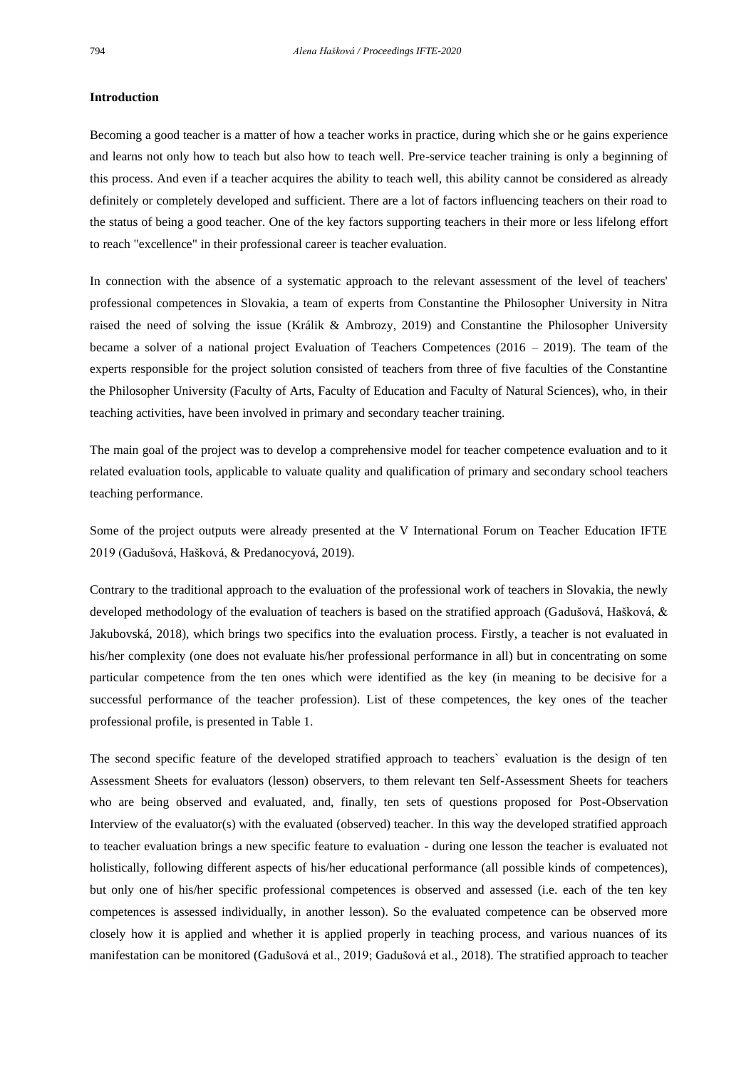#### **Introduction**

Becoming a good teacher is a matter of how a teacher works in practice, during which she or he gains experience and learns not only how to teach but also how to teach well. Pre-service teacher training is only a beginning of this process. And even if a teacher acquires the ability to teach well, this ability cannot be considered as already definitely or completely developed and sufficient. There are a lot of factors influencing teachers on their road to the status of being a good teacher. One of the key factors supporting teachers in their more or less lifelong effort to reach "excellence" in their professional career is teacher evaluation.

In connection with the absence of a systematic approach to the relevant assessment of the level of teachers' professional competences in Slovakia, a team of experts from Constantine the Philosopher University in Nitra raised the need of solving the issue (Králik & Ambrozy, 2019) and Constantine the Philosopher University became a solver of a national project Evaluation of Teachers Competences (2016 – 2019). The team of the experts responsible for the project solution consisted of teachers from three of five faculties of the Constantine the Philosopher University (Faculty of Arts, Faculty of Education and Faculty of Natural Sciences), who, in their teaching activities, have been involved in primary and secondary teacher training.

The main goal of the project was to develop a comprehensive model for teacher competence evaluation and to it related evaluation tools, applicable to valuate quality and qualification of primary and secondary school teachers teaching performance.

Some of the project outputs were already presented at the V International Forum on Teacher Education IFTE 2019 (Gadušová, Hašková, & Predanocyová, 2019).

Contrary to the traditional approach to the evaluation of the professional work of teachers in Slovakia, the newly developed methodology of the evaluation of teachers is based on the stratified approach (Gadušová, Hašková, & Jakubovská, 2018), which brings two specifics into the evaluation process. Firstly, a teacher is not evaluated in his/her complexity (one does not evaluate his/her professional performance in all) but in concentrating on some particular competence from the ten ones which were identified as the key (in meaning to be decisive for a successful performance of the teacher profession). List of these competences, the key ones of the teacher professional profile, is presented in Table 1.

The second specific feature of the developed stratified approach to teachers` evaluation is the design of ten Assessment Sheets for evaluators (lesson) observers, to them relevant ten Self-Assessment Sheets for teachers who are being observed and evaluated, and, finally, ten sets of questions proposed for Post-Observation Interview of the evaluator(s) with the evaluated (observed) teacher. In this way the developed stratified approach to teacher evaluation brings a new specific feature to evaluation - during one lesson the teacher is evaluated not holistically, following different aspects of his/her educational performance (all possible kinds of competences), but only one of his/her specific professional competences is observed and assessed (i.e. each of the ten key competences is assessed individually, in another lesson). So the evaluated competence can be observed more closely how it is applied and whether it is applied properly in teaching process, and various nuances of its manifestation can be monitored (Gadušová et al., 2019; Gadušová et al., 2018). The stratified approach to teacher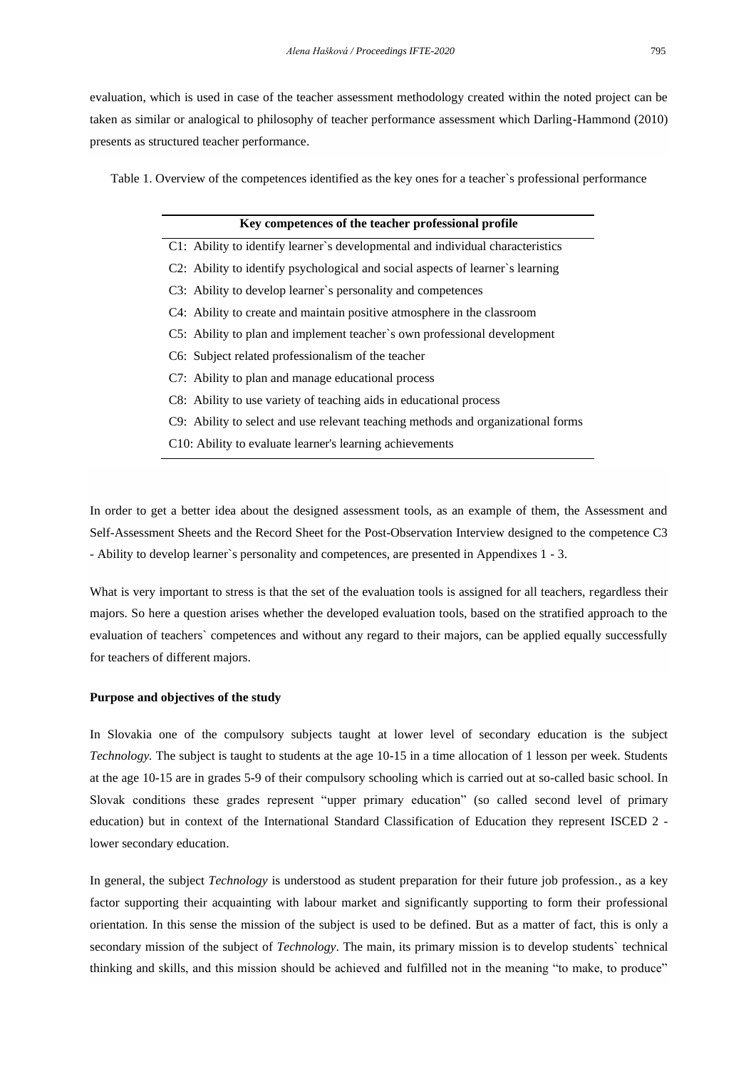evaluation, which is used in case of the teacher assessment methodology created within the noted project can be taken as similar or analogical to philosophy of teacher performance assessment which Darling-Hammond (2010) presents as structured teacher performance.

Table 1. Overview of the competences identified as the key ones for a teacher`s professional performance

#### **Key competences of the teacher professional profile**

- C1: Ability to identify learner`s developmental and individual characteristics
- C2: Ability to identify psychological and social aspects of learner`s learning
- C3: Ability to develop learner`s personality and competences
- C4: Ability to create and maintain positive atmosphere in the classroom
- C5: Ability to plan and implement teacher`s own professional development
- C6: Subject related professionalism of the teacher
- C7: Ability to plan and manage educational process
- C8: Ability to use variety of teaching aids in educational process
- C9: Ability to select and use relevant teaching methods and organizational forms
- C10: Ability to evaluate learner's learning achievements

In order to get a better idea about the designed assessment tools, as an example of them, the Assessment and Self-Assessment Sheets and the Record Sheet for the Post-Observation Interview designed to the competence C3 - Ability to develop learner`s personality and competences, are presented in Appendixes 1 - 3.

What is very important to stress is that the set of the evaluation tools is assigned for all teachers, regardless their majors. So here a question arises whether the developed evaluation tools, based on the stratified approach to the evaluation of teachers` competences and without any regard to their majors, can be applied equally successfully for teachers of different majors.

#### **Purpose and objectives of the study**

In Slovakia one of the compulsory subjects taught at lower level of secondary education is the subject *Technology.* The subject is taught to students at the age 10-15 in a time allocation of 1 lesson per week. Students at the age 10-15 are in grades 5-9 of their compulsory schooling which is carried out at so-called basic school. In Slovak conditions these grades represent "upper primary education" (so called second level of primary education) but in context of the International Standard Classification of Education they represent ISCED 2 lower secondary education.

In general, the subject *Technology* is understood as student preparation for their future job profession., as a key factor supporting their acquainting with labour market and significantly supporting to form their professional orientation. In this sense the mission of the subject is used to be defined. But as a matter of fact, this is only a secondary mission of the subject of *Technology*. The main, its primary mission is to develop students` technical thinking and skills, and this mission should be achieved and fulfilled not in the meaning "to make, to produce"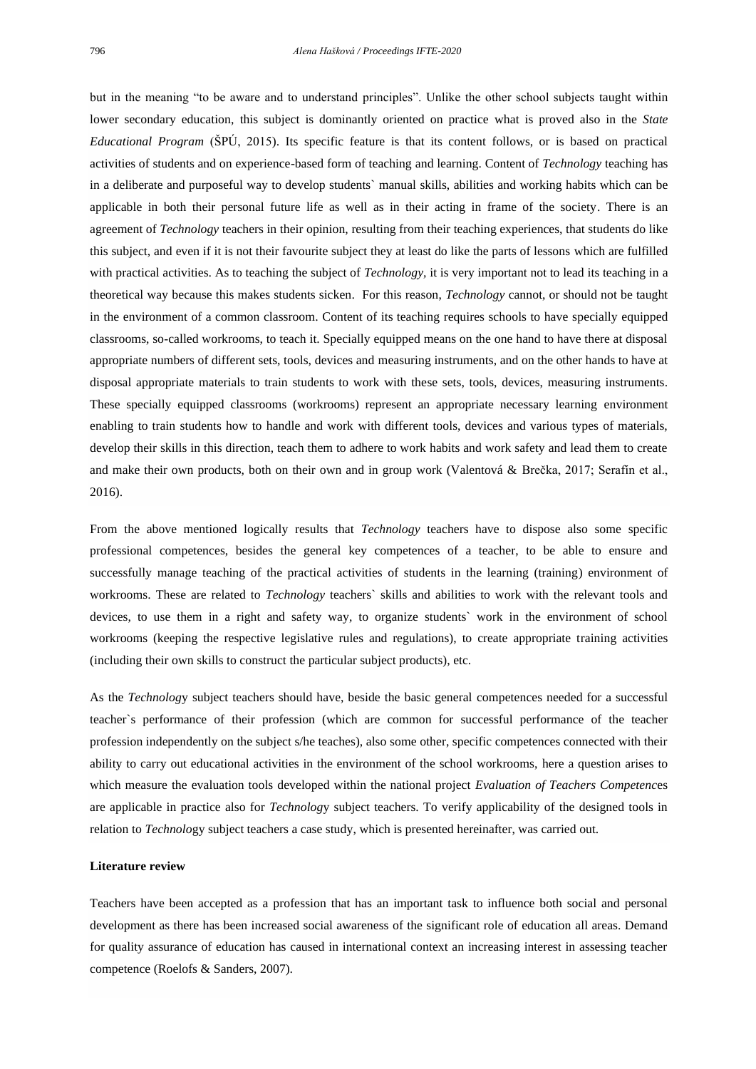but in the meaning "to be aware and to understand principles". Unlike the other school subjects taught within lower secondary education, this subject is dominantly oriented on practice what is proved also in the *State Educational Program* (ŠPÚ, 2015). Its specific feature is that its content follows, or is based on practical activities of students and on experience-based form of teaching and learning. Content of *Technology* teaching has in a deliberate and purposeful way to develop students` manual skills, abilities and working habits which can be applicable in both their personal future life as well as in their acting in frame of the society. There is an agreement of *Technology* teachers in their opinion, resulting from their teaching experiences, that students do like this subject, and even if it is not their favourite subject they at least do like the parts of lessons which are fulfilled with practical activities. As to teaching the subject of *Technology,* it is very important not to lead its teaching in a theoretical way because this makes students sicken. For this reason, *Technology* cannot, or should not be taught in the environment of a common classroom. Content of its teaching requires schools to have specially equipped classrooms, so-called workrooms, to teach it. Specially equipped means on the one hand to have there at disposal appropriate numbers of different sets, tools, devices and measuring instruments, and on the other hands to have at disposal appropriate materials to train students to work with these sets, tools, devices, measuring instruments. These specially equipped classrooms (workrooms) represent an appropriate necessary learning environment enabling to train students how to handle and work with different tools, devices and various types of materials, develop their skills in this direction, teach them to adhere to work habits and work safety and lead them to create and make their own products, both on their own and in group work (Valentová & Brečka, 2017; Serafín et al., 2016).

From the above mentioned logically results that *Technology* teachers have to dispose also some specific professional competences, besides the general key competences of a teacher, to be able to ensure and successfully manage teaching of the practical activities of students in the learning (training) environment of workrooms. These are related to *Technology* teachers` skills and abilities to work with the relevant tools and devices, to use them in a right and safety way, to organize students` work in the environment of school workrooms (keeping the respective legislative rules and regulations), to create appropriate training activities (including their own skills to construct the particular subject products), etc.

As the *Technolog*y subject teachers should have, beside the basic general competences needed for a successful teacher`s performance of their profession (which are common for successful performance of the teacher profession independently on the subject s/he teaches), also some other, specific competences connected with their ability to carry out educational activities in the environment of the school workrooms, here a question arises to which measure the evaluation tools developed within the national project *Evaluation of Teachers Competenc*es are applicable in practice also for *Technolog*y subject teachers. To verify applicability of the designed tools in relation to *Technolo*gy subject teachers a case study, which is presented hereinafter, was carried out.

#### **Literature review**

Teachers have been accepted as a profession that has an important task to influence both social and personal development as there has been increased social awareness of the significant role of education all areas. Demand for quality assurance of education has caused in international context an increasing interest in assessing teacher competence (Roelofs & Sanders, 2007).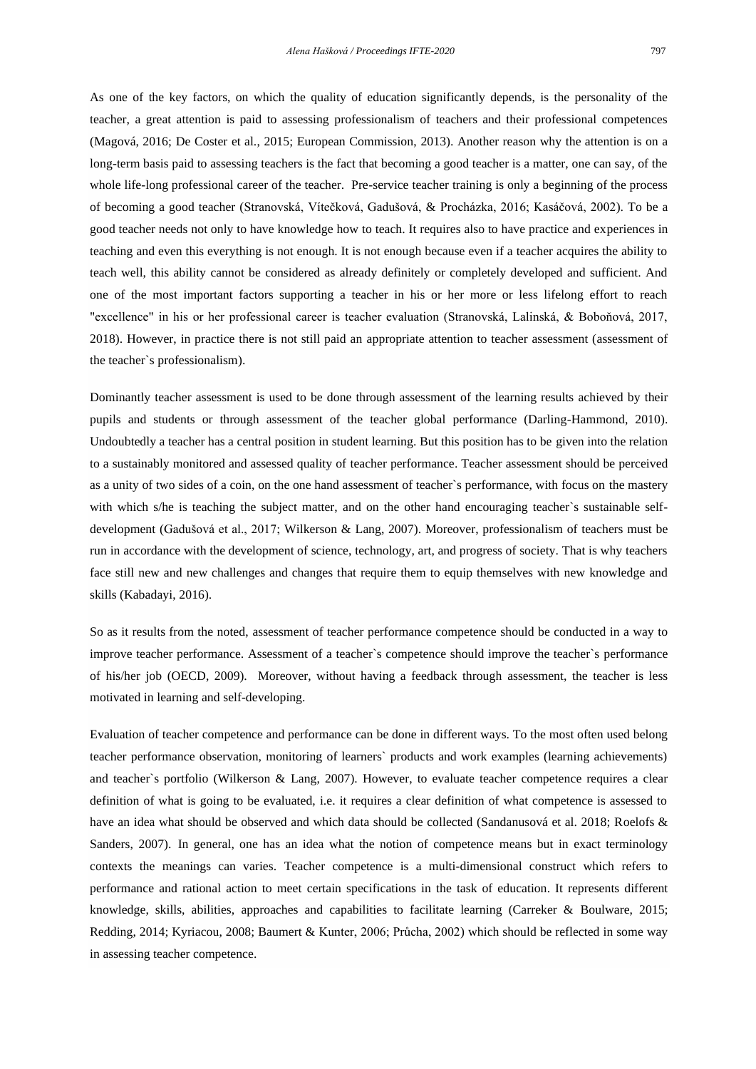As one of the key factors, on which the quality of education significantly depends, is the personality of the teacher, a great attention is paid to assessing professionalism of teachers and their professional competences (Magová, 2016; De Coster et al., 2015; European Commission, 2013). Another reason why the attention is on a long-term basis paid to assessing teachers is the fact that becoming a good teacher is a matter, one can say, of the whole life-long professional career of the teacher. Pre-service teacher training is only a beginning of the process of becoming a good teacher (Stranovská, Vítečková, Gadušová, & Procházka, 2016; Kasáčová, 2002). To be a good teacher needs not only to have knowledge how to teach. It requires also to have practice and experiences in teaching and even this everything is not enough. It is not enough because even if a teacher acquires the ability to teach well, this ability cannot be considered as already definitely or completely developed and sufficient. And one of the most important factors supporting a teacher in his or her more or less lifelong effort to reach "excellence" in his or her professional career is teacher evaluation (Stranovská, Lalinská, & Boboňová, 2017, 2018). However, in practice there is not still paid an appropriate attention to teacher assessment (assessment of the teacher`s professionalism).

Dominantly teacher assessment is used to be done through assessment of the learning results achieved by their pupils and students or through assessment of the teacher global performance (Darling-Hammond, 2010). Undoubtedly a teacher has a central position in student learning. But this position has to be given into the relation to a sustainably monitored and assessed quality of teacher performance. Teacher assessment should be perceived as a unity of two sides of a coin, on the one hand assessment of teacher`s performance, with focus on the mastery with which s/he is teaching the subject matter, and on the other hand encouraging teacher's sustainable selfdevelopment (Gadušová et al., 2017; Wilkerson & Lang, 2007). Moreover, professionalism of teachers must be run in accordance with the development of science, technology, art, and progress of society. That is why teachers face still new and new challenges and changes that require them to equip themselves with new knowledge and skills (Kabadayi, 2016).

So as it results from the noted, assessment of teacher performance competence should be conducted in a way to improve teacher performance. Assessment of a teacher`s competence should improve the teacher`s performance of his/her job (OECD, 2009). Moreover, without having a feedback through assessment, the teacher is less motivated in learning and self-developing.

Evaluation of teacher competence and performance can be done in different ways. To the most often used belong teacher performance observation, monitoring of learners` products and work examples (learning achievements) and teacher`s portfolio (Wilkerson & Lang, 2007). However, to evaluate teacher competence requires a clear definition of what is going to be evaluated, i.e. it requires a clear definition of what competence is assessed to have an idea what should be observed and which data should be collected (Sandanusová et al. 2018; Roelofs & Sanders, 2007). In general, one has an idea what the notion of competence means but in exact terminology contexts the meanings can varies. Teacher competence is a multi-dimensional construct which refers to performance and rational action to meet certain specifications in the task of education. It represents different knowledge, skills, abilities, approaches and capabilities to facilitate learning (Carreker & Boulware, 2015; Redding, 2014; Kyriacou, 2008; Baumert & Kunter, 2006; Průcha, 2002) which should be reflected in some way in assessing teacher competence.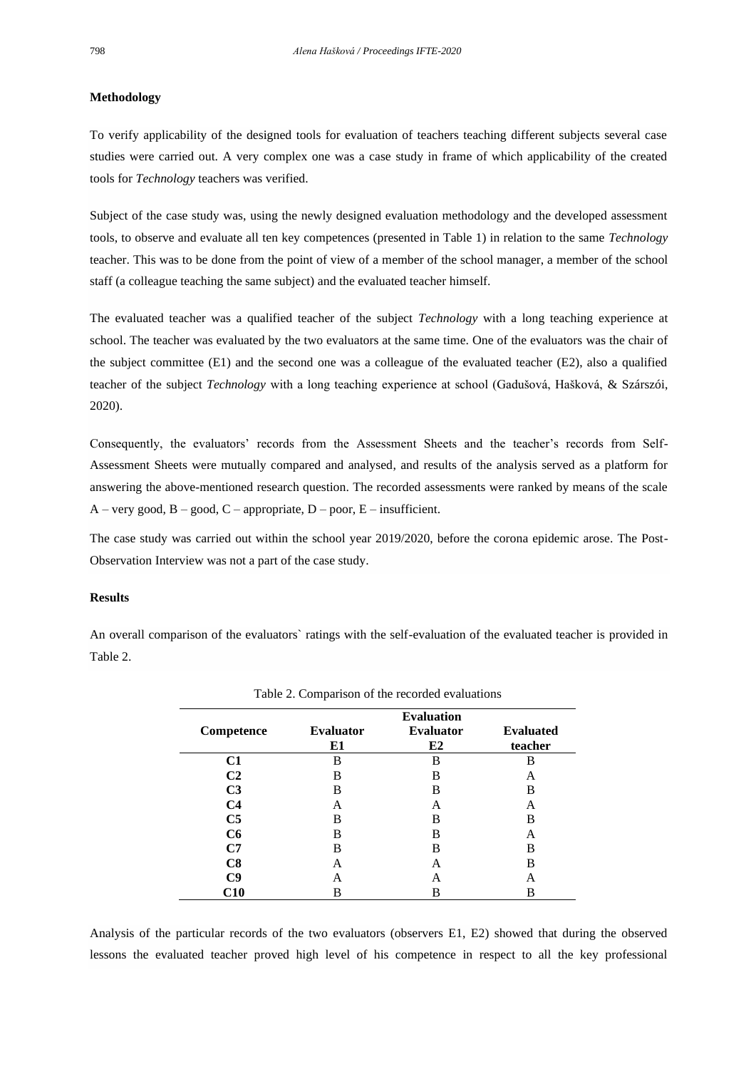#### **Methodology**

To verify applicability of the designed tools for evaluation of teachers teaching different subjects several case studies were carried out. A very complex one was a case study in frame of which applicability of the created tools for *Technology* teachers was verified.

Subject of the case study was, using the newly designed evaluation methodology and the developed assessment tools, to observe and evaluate all ten key competences (presented in Table 1) in relation to the same *Technology*  teacher. This was to be done from the point of view of a member of the school manager, a member of the school staff (a colleague teaching the same subject) and the evaluated teacher himself.

The evaluated teacher was a qualified teacher of the subject *Technology* with a long teaching experience at school. The teacher was evaluated by the two evaluators at the same time. One of the evaluators was the chair of the subject committee (E1) and the second one was a colleague of the evaluated teacher (E2), also a qualified teacher of the subject *Technology* with a long teaching experience at school (Gadušová, Hašková, & Szárszói, 2020).

Consequently, the evaluators' records from the Assessment Sheets and the teacher's records from Self-Assessment Sheets were mutually compared and analysed, and results of the analysis served as a platform for answering the above-mentioned research question. The recorded assessments were ranked by means of the scale  $A - \text{very good}, B - \text{good}, C - \text{appropriate}, D - \text{poor}, E - \text{insufficient}.$ 

The case study was carried out within the school year 2019/2020, before the corona epidemic arose. The Post-Observation Interview was not a part of the case study.

#### **Results**

An overall comparison of the evaluators` ratings with the self-evaluation of the evaluated teacher is provided in Table 2.

|                | <b>Evaluation</b>      |                        |                             |
|----------------|------------------------|------------------------|-----------------------------|
| Competence     | <b>Evaluator</b><br>E1 | <b>Evaluator</b><br>E2 | <b>Evaluated</b><br>teacher |
| C1             | B                      | B                      | B                           |
| C <sub>2</sub> | B                      | B                      | А                           |
| C <sub>3</sub> | В                      | B                      | в                           |
| C4             | А                      | А                      | Α                           |
| C <sub>5</sub> | В                      | В                      | В                           |
| C6             | В                      | B                      | A                           |
| C7             | в                      | B                      | B                           |
| C8             | А                      | А                      | в                           |
| C9             | А                      | А                      | А                           |
| C10            | В                      | В                      | В                           |

Analysis of the particular records of the two evaluators (observers E1, E2) showed that during the observed lessons the evaluated teacher proved high level of his competence in respect to all the key professional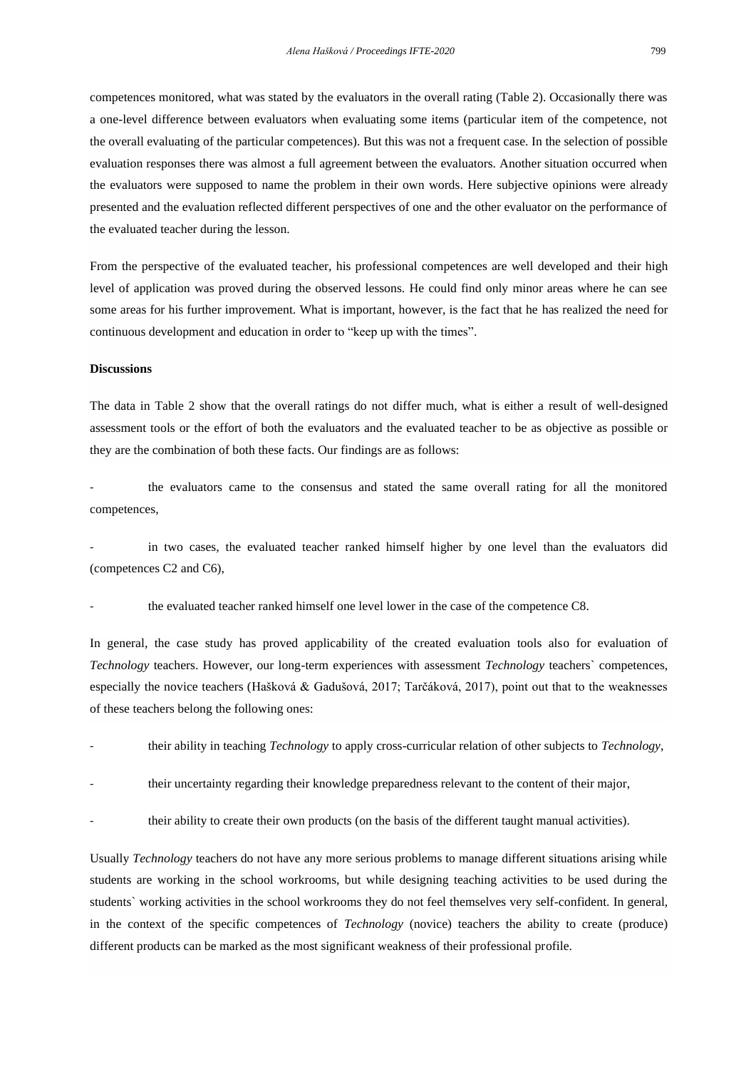competences monitored, what was stated by the evaluators in the overall rating (Table 2). Occasionally there was a one-level difference between evaluators when evaluating some items (particular item of the competence, not the overall evaluating of the particular competences). But this was not a frequent case. In the selection of possible evaluation responses there was almost a full agreement between the evaluators. Another situation occurred when the evaluators were supposed to name the problem in their own words. Here subjective opinions were already presented and the evaluation reflected different perspectives of one and the other evaluator on the performance of the evaluated teacher during the lesson.

From the perspective of the evaluated teacher, his professional competences are well developed and their high level of application was proved during the observed lessons. He could find only minor areas where he can see some areas for his further improvement. What is important, however, is the fact that he has realized the need for continuous development and education in order to "keep up with the times".

### **Discussions**

The data in Table 2 show that the overall ratings do not differ much, what is either a result of well-designed assessment tools or the effort of both the evaluators and the evaluated teacher to be as objective as possible or they are the combination of both these facts. Our findings are as follows:

the evaluators came to the consensus and stated the same overall rating for all the monitored competences,

in two cases, the evaluated teacher ranked himself higher by one level than the evaluators did (competences C2 and C6),

the evaluated teacher ranked himself one level lower in the case of the competence C8.

In general, the case study has proved applicability of the created evaluation tools also for evaluation of *Technology* teachers. However, our long-term experiences with assessment *Technology* teachers` competences, especially the novice teachers (Hašková & Gadušová, 2017; Tarčáková, 2017), point out that to the weaknesses of these teachers belong the following ones:

- their ability in teaching *Technology* to apply cross-curricular relation of other subjects to *Technology*,
- their uncertainty regarding their knowledge preparedness relevant to the content of their major,
- their ability to create their own products (on the basis of the different taught manual activities).

Usually *Technology* teachers do not have any more serious problems to manage different situations arising while students are working in the school workrooms, but while designing teaching activities to be used during the students` working activities in the school workrooms they do not feel themselves very self-confident. In general, in the context of the specific competences of *Technology* (novice) teachers the ability to create (produce) different products can be marked as the most significant weakness of their professional profile.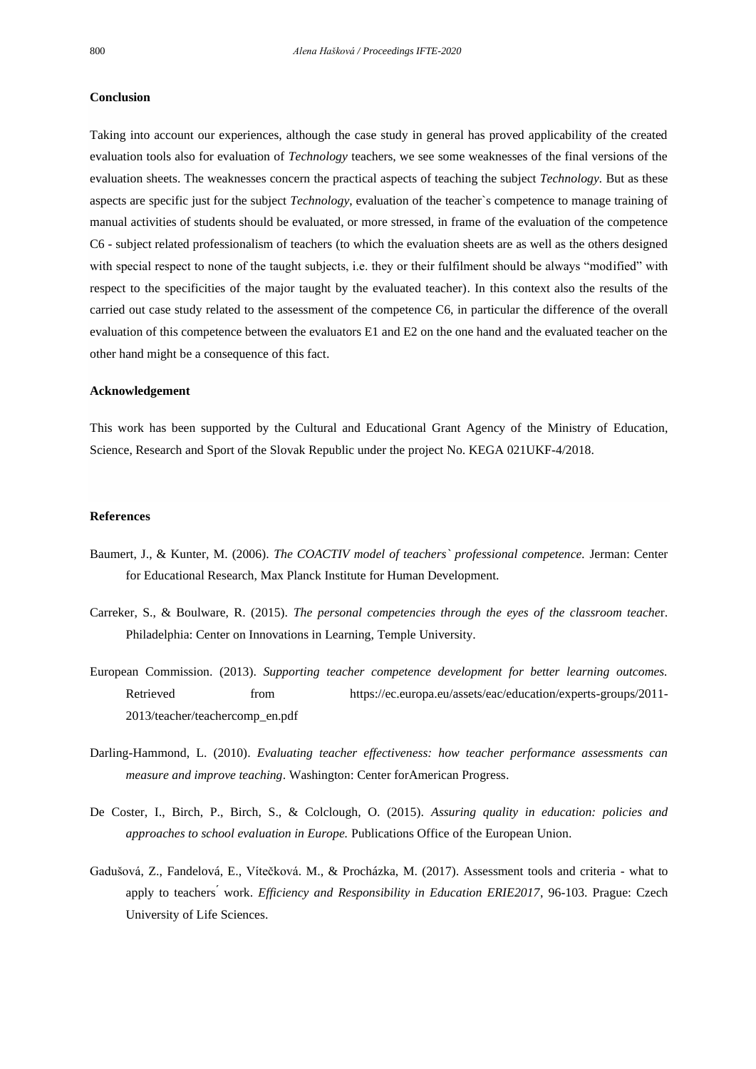#### **Conclusion**

Taking into account our experiences, although the case study in general has proved applicability of the created evaluation tools also for evaluation of *Technology* teachers, we see some weaknesses of the final versions of the evaluation sheets. The weaknesses concern the practical aspects of teaching the subject *Technology.* But as these aspects are specific just for the subject *Technology*, evaluation of the teacher`s competence to manage training of manual activities of students should be evaluated, or more stressed, in frame of the evaluation of the competence C6 - subject related professionalism of teachers (to which the evaluation sheets are as well as the others designed with special respect to none of the taught subjects, i.e. they or their fulfilment should be always "modified" with respect to the specificities of the major taught by the evaluated teacher). In this context also the results of the carried out case study related to the assessment of the competence C6, in particular the difference of the overall evaluation of this competence between the evaluators E1 and E2 on the one hand and the evaluated teacher on the other hand might be a consequence of this fact.

#### **Acknowledgement**

This work has been supported by the Cultural and Educational Grant Agency of the Ministry of Education, Science, Research and Sport of the Slovak Republic under the project No. KEGA 021UKF-4/2018.

#### **References**

- Baumert, J., & Kunter, M. (2006). *The COACTIV model of teachers` professional competence.* Jerman: Center for Educational Research, Max Planck Institute for Human Development.
- Carreker, S., & Boulware, R. (2015). *The personal competencies through the eyes of the classroom teache*r. Philadelphia: Center on Innovations in Learning, Temple University.
- European Commission. (2013). *Supporting teacher competence development for better learning outcomes.* Retrieved from https://ec.europa.eu/assets/eac/education/experts-groups/2011- 2013/teacher/teachercomp\_en.pdf
- Darling-Hammond, L. (2010). *Evaluating teacher effectiveness: how teacher performance assessments can measure and improve teaching*. Washington: Center forAmerican Progress.
- De Coster, I., Birch, P., Birch, S., & Colclough, O. (2015). *Assuring quality in education: policies and approaches to school evaluation in Europe.* Publications Office of the European Union.
- Gadušová, Z., Fandelová, E., Vítečková. M., & Procházka, M. (2017). Assessment tools and criteria what to apply to teachers<sup>'</sup> work. *Efficiency and Responsibility in Education ERIE2017*, 96-103. Prague: Czech University of Life Sciences.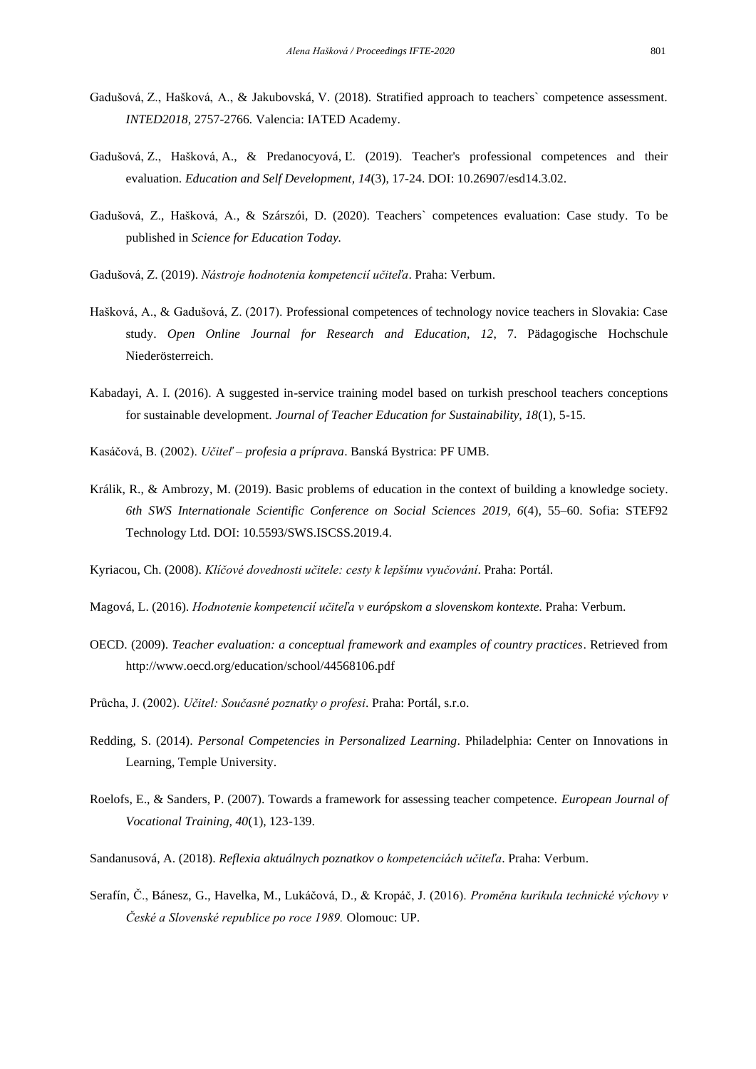- Gadušová, Z., Hašková, A., & Jakubovská, V. (2018). Stratified approach to teachers` competence assessment. *INTED2018,* 2757-2766*.* Valencia: IATED Academy.
- Gadušová, Z., Hašková, A., & Predanocyová, Ľ. (2019). Teacher's professional competences and their evaluation. *Education and Self Development, 14*(3), 17-24. DOI: 10.26907/esd14.3.02.
- Gadušová, Z., Hašková, A., & Szárszói, D. (2020). Teachers` competences evaluation: Case study. To be published in *Science for Education Today.*
- Gadušová, Z. (2019). *Nástroje hodnotenia kompetencií učiteľa*. Praha: Verbum.
- Hašková, A., & Gadušová, Z. (2017). Professional competences of technology novice teachers in Slovakia: Case study. *Open Online Journal for Research and Education, 12*, 7. Pädagogische Hochschule Niederösterreich.
- Kabadayi, A. I. (2016). A suggested in-service training model based on turkish preschool teachers conceptions for sustainable development. *Journal of Teacher Education for Sustainability, 18*(1), 5-15.
- Kasáčová, B. (2002). *Učiteľ – profesia a príprava*. Banská Bystrica: PF UMB.
- Králik, R., & Ambrozy, M. (2019). Basic problems of education in the context of building a knowledge society. *6th SWS Internationale Scientific Conference on Social Sciences 2019, 6*(4), 55–60. Sofia: STEF92 Technology Ltd. DOI: 10.5593/SWS.ISCSS.2019.4.

Kyriacou, Ch. (2008). *Klíčové dovednosti učitele: cesty k lepšímu vyučování*. Praha: Portál.

- Magová, L. (2016). *Hodnotenie kompetencií učiteľa v európskom a slovenskom kontexte.* Praha: Verbum.
- OECD. (2009). *Teacher evaluation: a conceptual framework and examples of country practices*. Retrieved from http://www.oecd.org/education/school/44568106.pdf
- Průcha, J. (2002). *Učitel: Současné poznatky o profesi*. Praha: Portál, s.r.o.
- Redding, S. (2014). *Personal Competencies in Personalized Learning*. Philadelphia: Center on Innovations in Learning, Temple University.
- Roelofs, E., & Sanders, P. (2007). Towards a framework for assessing teacher competence. *European Journal of Vocational Training, 40*(1), 123-139.
- Sandanusová, A. (2018). *Reflexia aktuálnych poznatkov o kompetenciách učiteľa*. Praha: Verbum.
- Serafín, Č., Bánesz, G., Havelka, M., Lukáčová, D., & Kropáč, J. (2016). *Proměna kurikula technické výchovy v České a Slovenské republice po roce 1989.* Olomouc: UP.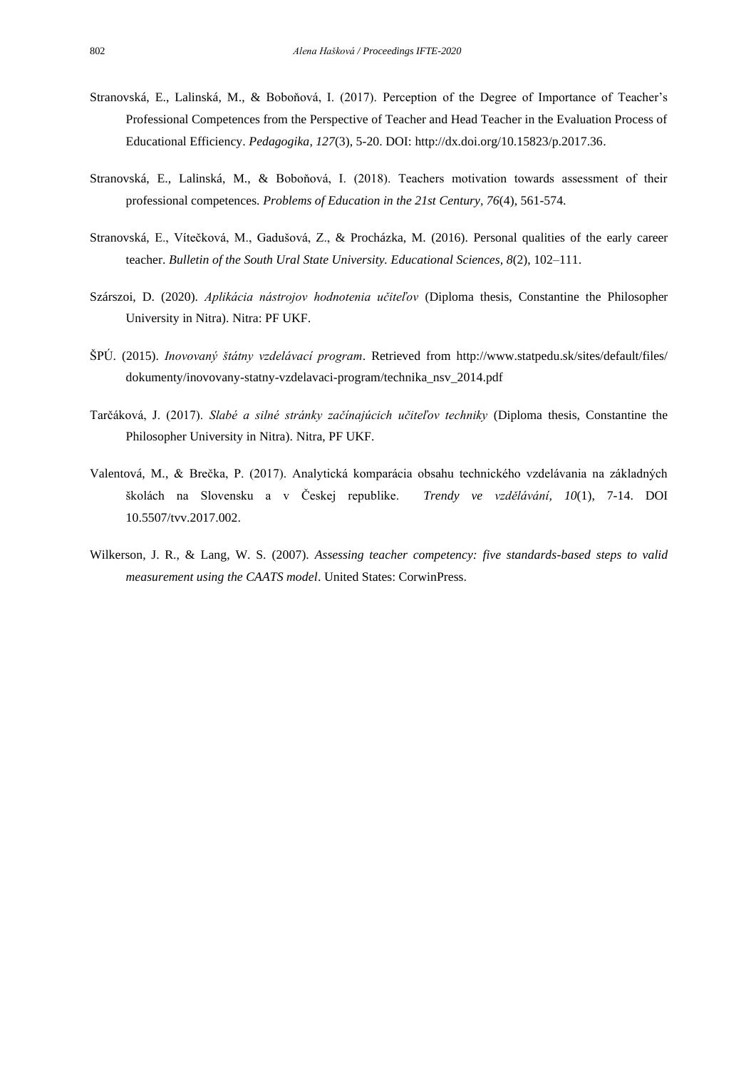- Stranovská, E., Lalinská, M., & Boboňová, I. (2017). Perception of the Degree of Importance of Teacher's Professional Competences from the Perspective of Teacher and Head Teacher in the Evaluation Process of Educational Efficiency. *Pedagogika, 127*(3), 5-20. DOI: [http://dx.doi.org/10.15823/p.2017.36.](http://dx.doi.org/10.15823/p.2017.36)
- Stranovská, E., Lalinská, M., & Boboňová, I. (2018). Teachers motivation towards assessment of their professional competences. *Problems of Education in the 21st Century, 76*(4), 561-574.
- Stranovská, E., Vítečková, M., Gadušová, Z., & Procházka, M. (2016). Personal qualities of the early career teacher. *Bulletin of the South Ural State University. Educational Sciences, 8*(2), 102–111.
- Szárszoi, D. (2020). *Aplikácia nástrojov hodnotenia učiteľov* (Diploma thesis, Constantine the Philosopher University in Nitra). Nitra: PF UKF.
- ŠPÚ. (2015). *Inovovaný štátny vzdelávací program*. Retrieved from http://www.statpedu.sk/sites/default/files/ dokumenty/inovovany-statny-vzdelavaci-program/technika\_nsv\_2014.pdf
- Tarčáková, J. (2017). *Slabé a silné stránky začínajúcich učiteľov techniky* (Diploma thesis, Constantine the Philosopher University in Nitra). Nitra, PF UKF.
- Valentová, M., & Brečka, P. (2017). Analytická komparácia obsahu technického vzdelávania na základných školách na Slovensku a v Českej republike. *Trendy ve vzdělávání, 10*(1), 7-14. DOI 10.5507/tvv.2017.002.
- Wilkerson, J. R., & Lang, W. S. (2007). *Assessing teacher competency: five standards-based steps to valid measurement using the CAATS model*. United States: CorwinPress.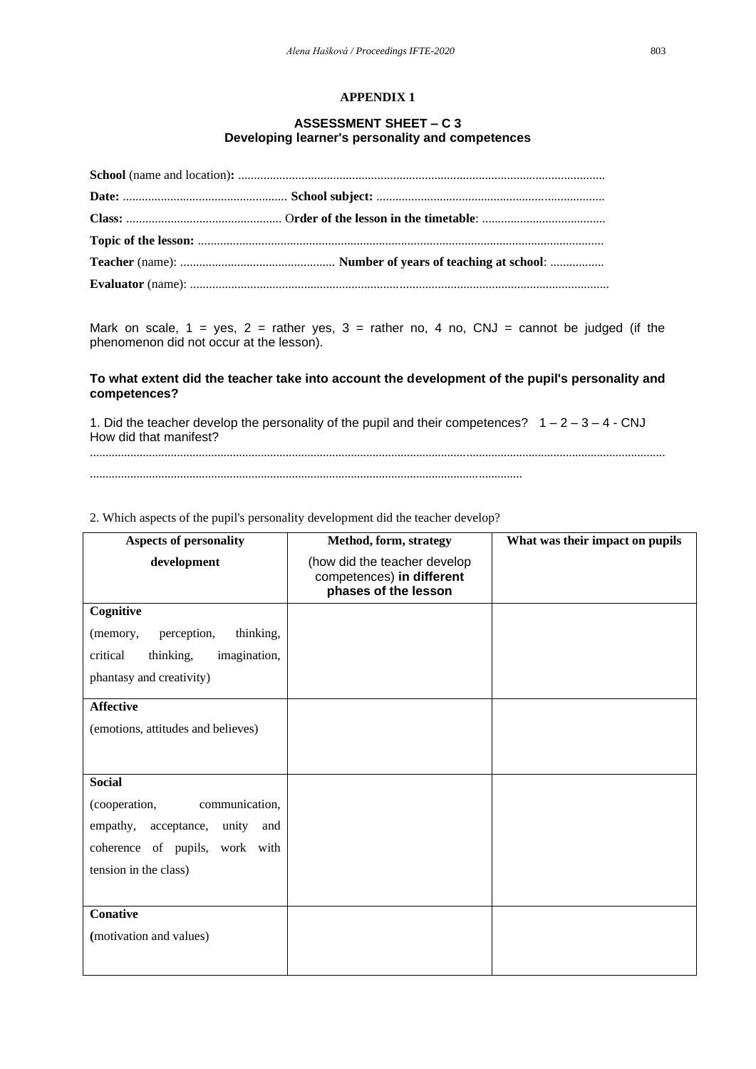## **APPENDIX 1**

## **ASSESSMENT SHEET – C 3 Developing learner's personality and competences**

Mark on scale,  $1 = yes$ ,  $2 = rather$  yes,  $3 = rather$  no,  $4$  no,  $CNJ = cannot be judged (if the)$ phenomenon did not occur at the lesson).

## **To what extent did the teacher take into account the development of the pupil's personality and competences?**

1. Did the teacher develop the personality of the pupil and their competences?  $1 - 2 - 3 - 4 - CNJ$ How did that manifest? .........................................................................................................................................................................................

...........................................................................................................................................

|  |  |  | 2. Which aspects of the pupil's personality development did the teacher develop? |
|--|--|--|----------------------------------------------------------------------------------|
|  |  |  |                                                                                  |

| <b>Aspects of personality</b>         | Method, form, strategy                                                            | What was their impact on pupils |
|---------------------------------------|-----------------------------------------------------------------------------------|---------------------------------|
| development                           | (how did the teacher develop<br>competences) in different<br>phases of the lesson |                                 |
| Cognitive                             |                                                                                   |                                 |
| thinking,<br>perception,<br>(memory,  |                                                                                   |                                 |
| thinking,<br>critical<br>imagination, |                                                                                   |                                 |
| phantasy and creativity)              |                                                                                   |                                 |
| <b>Affective</b>                      |                                                                                   |                                 |
| (emotions, attitudes and believes)    |                                                                                   |                                 |
|                                       |                                                                                   |                                 |
| <b>Social</b>                         |                                                                                   |                                 |
| (cooperation,<br>communication,       |                                                                                   |                                 |
| empathy, acceptance, unity<br>and     |                                                                                   |                                 |
| coherence of pupils, work with        |                                                                                   |                                 |
| tension in the class)                 |                                                                                   |                                 |
|                                       |                                                                                   |                                 |
| <b>Conative</b>                       |                                                                                   |                                 |
| (motivation and values)               |                                                                                   |                                 |
|                                       |                                                                                   |                                 |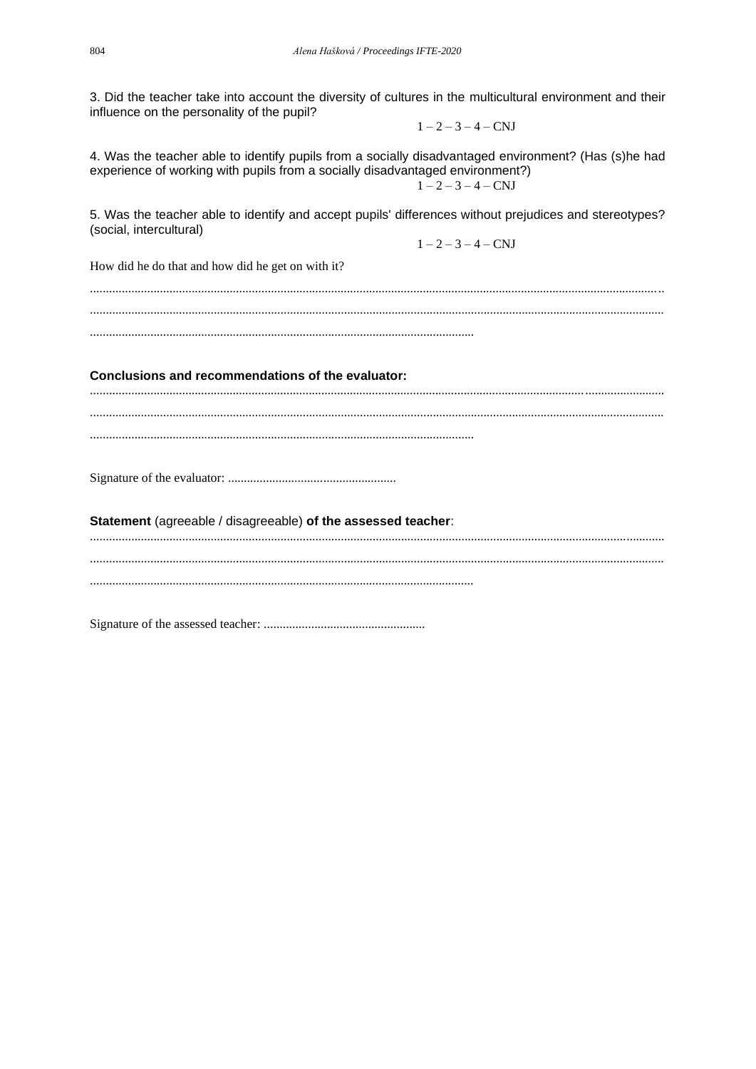3. Did the teacher take into account the diversity of cultures in the multicultural environment and their influence on the personality of the pupil?

 $1 - 2 - 3 - 4 - CNJ$ 

4. Was the teacher able to identify pupils from a socially disadvantaged environment? (Has (s)he had experience of working with pupils from a socially disadvantaged environment?)  $1 - 2 - 3 - 4 - CNJ$ 

5. Was the teacher able to identify and accept pupils' differences without prejudices and stereotypes? (social, intercultural)

 $1 - 2 - 3 - 4 - CNJ$ 

How did he do that and how did he get on with it?

Conclusions and recommendations of the evaluator:

Statement (agreeable / disagreeable) of the assessed teacher: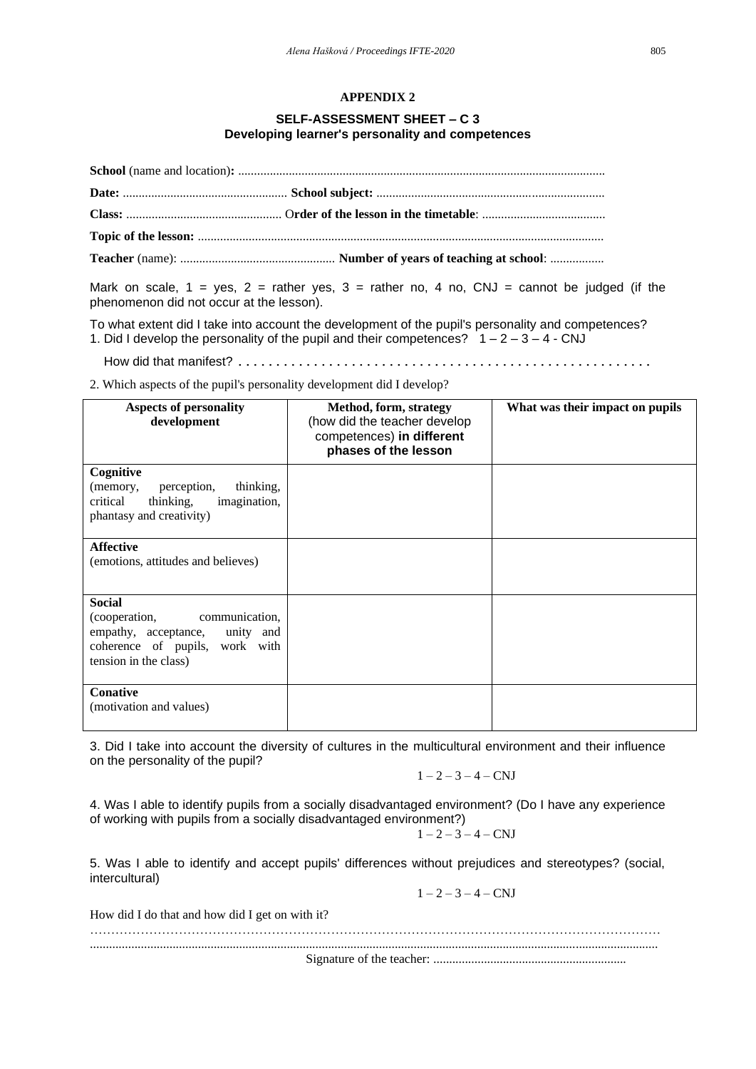## **APPENDIX 2**

## **SELF-ASSESSMENT SHEET – C 3 Developing learner's personality and competences**

Mark on scale,  $1 = yes$ ,  $2 =$  rather yes,  $3 =$  rather no,  $4$  no, CNJ = cannot be judged (if the phenomenon did not occur at the lesson).

To what extent did I take into account the development of the pupil's personality and competences? 1. Did I develop the personality of the pupil and their competences?  $1 - 2 - 3 - 4 - CNJ$ 

How did that manifest? .......................................................

2. Which aspects of the pupil's personality development did I develop?

| <b>Aspects of personality</b><br>development                                                                                                  | Method, form, strategy<br>(how did the teacher develop<br>competences) in different<br>phases of the lesson | What was their impact on pupils |
|-----------------------------------------------------------------------------------------------------------------------------------------------|-------------------------------------------------------------------------------------------------------------|---------------------------------|
| Cognitive<br>perception,<br>thinking,<br>(memory,<br>critical<br>imagination,<br>thinking,<br>phantasy and creativity)                        |                                                                                                             |                                 |
| <b>Affective</b><br>(emotions, attitudes and believes)                                                                                        |                                                                                                             |                                 |
| <b>Social</b><br>(cooperation,<br>communication,<br>empathy, acceptance, unity and<br>coherence of pupils, work with<br>tension in the class) |                                                                                                             |                                 |
| Conative<br>(motivation and values)                                                                                                           |                                                                                                             |                                 |

3. Did I take into account the diversity of cultures in the multicultural environment and their influence on the personality of the pupil?

$$
1-2-3-4-\mathrm{CNJ}
$$

4. Was I able to identify pupils from a socially disadvantaged environment? (Do I have any experience of working with pupils from a socially disadvantaged environment?)

$$
1-2-3-4-\mathrm{CNJ}
$$

5. Was I able to identify and accept pupils' differences without prejudices and stereotypes? (social, intercultural)

 $1 - 2 - 3 - 4 - CNJ$ 

| How did I do that and how did I get on with it? |  |
|-------------------------------------------------|--|
|                                                 |  |
|                                                 |  |